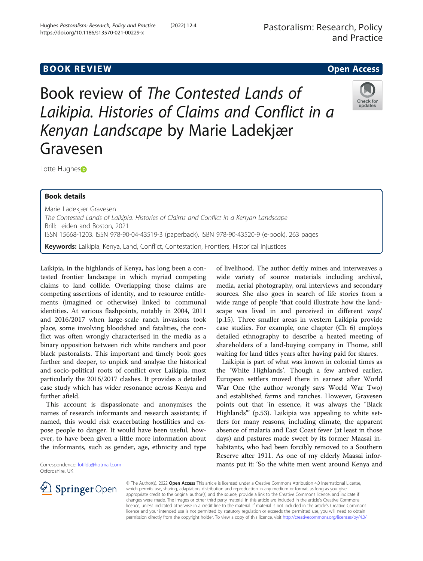# **BOOK REVIEW CONTROL** BOOK REVIEW

Book review of The Contested Lands of Laikipia. Histories of Claims and Conflict in a Kenyan Landscape by Marie Ladekjær Gravesen



Lotte Hughe[s](http://orcid.org/0000-0001-7928-2079)<sub>D</sub>

## Book details

Marie Ladekjær Gravesen The Contested Lands of Laikipia. Histories of Claims and Conflict in a Kenyan Landscape Brill: Leiden and Boston, 2021 ISSN 15668-1203. ISSN 978-90-04-43519-3 (paperback). ISBN 978-90-43520-9 (e-book). 263 pages Keywords: Laikipia, Kenya, Land, Conflict, Contestation, Frontiers, Historical injustices

Laikipia, in the highlands of Kenya, has long been a contested frontier landscape in which myriad competing claims to land collide. Overlapping those claims are competing assertions of identity, and to resource entitlements (imagined or otherwise) linked to communal identities. At various flashpoints, notably in 2004, 2011 and 2016/2017 when large-scale ranch invasions took place, some involving bloodshed and fatalities, the conflict was often wrongly characterised in the media as a binary opposition between rich white ranchers and poor black pastoralists. This important and timely book goes further and deeper, to unpick and analyse the historical and socio-political roots of conflict over Laikipia, most particularly the 2016/2017 clashes. It provides a detailed case study which has wider resonance across Kenya and further afield.

This account is dispassionate and anonymises the names of research informants and research assistants; if named, this would risk exacerbating hostilities and expose people to danger. It would have been useful, however, to have been given a little more information about the informants, such as gender, age, ethnicity and type

Correspondence: [lotilda@hotmail.com](mailto:lotilda@hotmail.com) Oxfordshire, UK

of livelihood. The author deftly mines and interweaves a wide variety of source materials including archival, media, aerial photography, oral interviews and secondary sources. She also goes in search of life stories from a wide range of people 'that could illustrate how the landscape was lived in and perceived in different ways' (p.15). Three smaller areas in western Laikipia provide case studies. For example, one chapter (Ch 6) employs detailed ethnography to describe a heated meeting of shareholders of a land-buying company in Thome, still waiting for land titles years after having paid for shares.

Laikipia is part of what was known in colonial times as the 'White Highlands'. Though a few arrived earlier, European settlers moved there in earnest after World War One (the author wrongly says World War Two) and established farms and ranches. However, Gravesen points out that 'in essence, it was always the "Black Highlands"' (p.53). Laikipia was appealing to white settlers for many reasons, including climate, the apparent absence of malaria and East Coast fever (at least in those days) and pastures made sweet by its former Maasai inhabitants, who had been forcibly removed to a Southern Reserve after 1911. As one of my elderly Maasai informants put it: 'So the white men went around Kenya and



© The Author(s). 2022 Open Access This article is licensed under a Creative Commons Attribution 4.0 International License, which permits use, sharing, adaptation, distribution and reproduction in any medium or format, as long as you give appropriate credit to the original author(s) and the source, provide a link to the Creative Commons licence, and indicate if changes were made. The images or other third party material in this article are included in the article's Creative Commons licence, unless indicated otherwise in a credit line to the material. If material is not included in the article's Creative Commons licence and your intended use is not permitted by statutory regulation or exceeds the permitted use, you will need to obtain permission directly from the copyright holder. To view a copy of this licence, visit <http://creativecommons.org/licenses/by/4.0/>.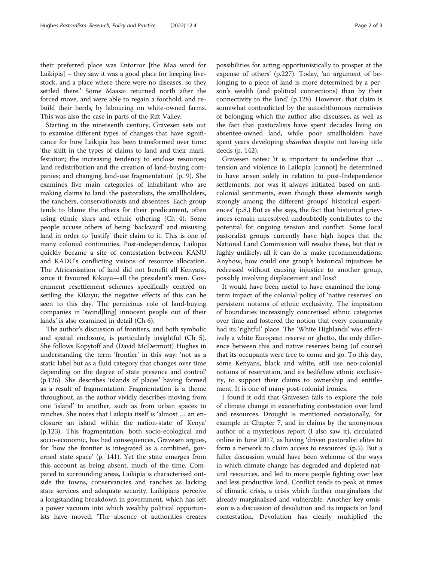their preferred place was Entorror [the Maa word for Laikipia] – they saw it was a good place for keeping livestock, and a place where there were no diseases, so they settled there.' Some Maasai returned north after the forced move, and were able to regain a foothold, and rebuild their herds, by labouring on white-owned farms. This was also the case in parts of the Rift Valley.

Starting in the nineteenth century, Gravesen sets out to examine different types of changes that have significance for how Laikipia has been transformed over time: 'the shift in the types of claims to land and their manifestation; the increasing tendency to enclose resources; land redistribution and the creation of land-buying companies; and changing land-use fragmentation' (p. 9). She examines five main categories of inhabitant who are making claims to land: the pastoralists, the smallholders, the ranchers, conservationists and absentees. Each group tends to blame the others for their predicament, often using ethnic slurs and ethnic othering (Ch 4). Some people accuse others of being 'backward' and misusing land in order to 'justify' their claim to it. This is one of many colonial continuities. Post-independence, Laikipia quickly became a site of contestation between KANU and KADU's conflicting visions of resource allocation. The Africanisation of land did not benefit all Kenyans, since it favoured Kikuyu—all the president's men. Government resettlement schemes specifically centred on settling the Kikuyu; the negative effects of this can be seen to this day. The pernicious role of land-buying companies in 'swind[ling] innocent people out of their lands' is also examined in detail (Ch 6).

The author's discussion of frontiers, and both symbolic and spatial enclosure, is particularly insightful (Ch 5). She follows Kopytoff and (David McDermott) Hughes in understanding the term 'frontier' in this way: 'not as a static label but as a fluid category that changes over time depending on the degree of state presence and control' (p.126). She describes 'islands of places' having formed as a result of fragmentation. Fragmentation is a theme throughout, as the author vividly describes moving from one 'island' to another, such as from urban spaces to ranches. She notes that Laikipia itself is 'almost … an enclosure: an island within the nation-state of Kenya' (p.123). This fragmentation, both socio-ecological and socio-economic, has had consequences, Gravesen argues, for 'how the frontier is integrated as a combined, governed state space' (p. 141). Yet the state emerges from this account as being absent, much of the time. Compared to surrounding areas, Laikipia is characterised outside the towns, conservancies and ranches as lacking state services and adequate security. Laikipians perceive a longstanding breakdown in government, which has left a power vacuum into which wealthy political opportunists have moved. 'The absence of authorities creates possibilities for acting opportunistically to prosper at the expense of others' (p.227). Today, 'an argument of belonging to a piece of land is more determined by a person's wealth (and political connections) than by their connectivity to the land' (p.128). However, that claim is somewhat contradicted by the autochthonous narratives of belonging which the author also discusses, as well as the fact that pastoralists have spent decades living on absentee-owned land, while poor smallholders have spent years developing shambas despite not having title deeds (p. 142).

Gravesen notes: 'it is important to underline that … tension and violence in Laikipia [cannot] be determined to have arisen solely in relation to post-Independence settlements, nor was it always initiated based on anticolonial sentiments, even though these elements weigh strongly among the different groups' historical experiences' (p.8.) But as she says, the fact that historical grievances remain unresolved undoubtedly contributes to the potential for ongoing tension and conflict. Some local pastoralist groups currently have high hopes that the National Land Commission will resolve these, but that is highly unlikely; all it can do is make recommendations. Anyhow, how could one group's historical injustices be redressed without causing injustice to another group, possibly involving displacement and loss?

It would have been useful to have examined the longterm impact of the colonial policy of 'native reserves' on persistent notions of ethnic exclusivity. The imposition of boundaries increasingly concretised ethnic categories over time and fostered the notion that every community had its 'rightful' place. The 'White Highlands' was effectively a white European reserve or ghetto, the only difference between this and native reserves being (of course) that its occupants were free to come and go. To this day, some Kenyans, black and white, still use neo-colonial notions of reservation, and its bedfellow ethnic exclusivity, to support their claims to ownership and entitlement. It is one of many post-colonial ironies.

I found it odd that Gravesen fails to explore the role of climate change in exacerbating contestation over land and resources. Drought is mentioned occasionally, for example in Chapter 7, and in claims by the anonymous author of a mysterious report (I also saw it), circulated online in June 2017, as having 'driven pastoralist elites to form a network to claim access to resources' (p.5). But a fuller discussion would have been welcome of the ways in which climate change has degraded and depleted natural resources, and led to more people fighting over less and less productive land. Conflict tends to peak at times of climatic crisis, a crisis which further marginalises the already marginalised and vulnerable. Another key omission is a discussion of devolution and its impacts on land contestation. Devolution has clearly multiplied the